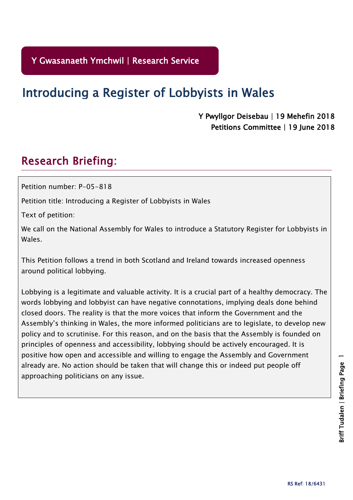# Introducing a Register of Lobbyists in Wales

# Y Pwyllgor Deisebau | 19 Mehefin 2018 Petitions Committee | 19 June 2018

# Research Briefing:

Petition number: P-05-818

Petition title: Introducing a Register of Lobbyists in Wales

Text of petition:

We call on the National Assembly for Wales to introduce a Statutory Register for Lobbyists in Wales.

This Petition follows a trend in both Scotland and Ireland towards increased openness around political lobbying.

Lobbying is a legitimate and valuable activity. It is a crucial part of a healthy democracy. The words lobbying and lobbyist can have negative connotations, implying deals done behind closed doors. The reality is that the more voices that inform the Government and the Assembly's thinking in Wales, the more informed politicians are to legislate, to develop new policy and to scrutinise. For this reason, and on the basis that the Assembly is founded on principles of openness and accessibility, lobbying should be actively encouraged. It is positive how open and accessible and willing to engage the Assembly and Government already are. No action should be taken that will change this or indeed put people off approaching politicians on any issue.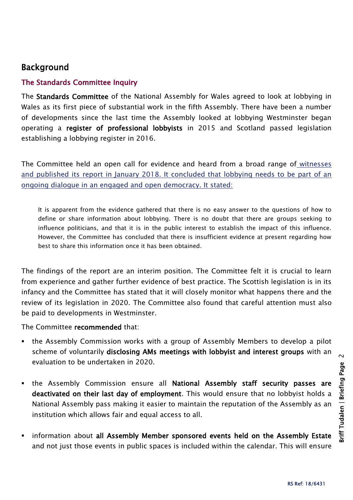# Background

#### The Standards Committee Inquiry

The Standards Committee of the National Assembly for Wales agreed to look at lobbying in Wales as its first piece of substantial work in the fifth Assembly. There have been a number of developments since the last time the Assembly looked at lobbying Westminster began operating a register of professional lobbyists in 2015 and Scotland passed legislation establishing a lobbying register in 2016.

[The Committee held an open call for evidence and](http://abms/documents/s70855/Committee%20Report%20-%2011%20January%202018.pdf) heard from a broad range of witnesses and published its report [in January 2018. It concluded that lobbying needs to be part of an](http://abms/documents/s70855/Committee%20Report%20-%2011%20January%202018.pdf)  [ongoing dialogue in an engaged and open democracy. It stated:](http://abms/documents/s70855/Committee%20Report%20-%2011%20January%202018.pdf) 

It is apparent from the evidence gathered that there is no easy answer to the questions of how to define or share information about lobbying. There is no doubt that there are groups seeking to influence politicians, and that it is in the public interest to establish the impact of this influence. However, the Committee has concluded that there is insufficient evidence at present regarding how best to share this information once it has been obtained.

The findings of the report are an interim position. The Committee felt it is crucial to learn from experience and gather further evidence of best practice. The Scottish legislation is in its infancy and the Committee has stated that it will closely monitor what happens there and the review of its legislation in 2020. The Committee also found that careful attention must also be paid to developments in Westminster.

The Committee recommended that:

- the Assembly Commission works with a group of Assembly Members to develop a pilot scheme of voluntarily disclosing AMs meetings with lobbyist and interest groups with an evaluation to be undertaken in 2020.
- the Assembly Commission ensure all National Assembly staff security passes are deactivated on their last day of employment. This would ensure that no lobbyist holds a National Assembly pass making it easier to maintain the reputation of the Assembly as an institution which allows fair and equal access to all.
- information about all Assembly Member sponsored events held on the Assembly Estate and not just those events in public spaces is included within the calendar. This will ensure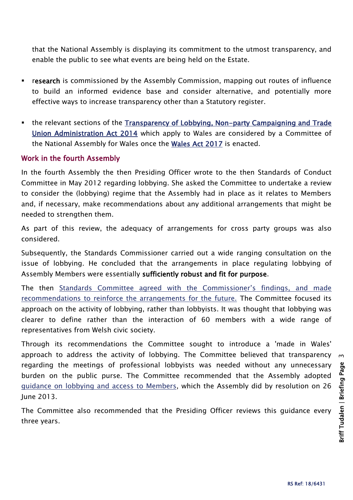that the National Assembly is displaying its commitment to the utmost transparency, and enable the public to see what events are being held on the Estate.

- **Figure 20** research is commissioned by the Assembly Commission, mapping out routes of influence to build an informed evidence base and consider alternative, and potentially more effective ways to increase transparency other than a Statutory register.
- the relevant sections of the [Transparency of Lobbying, Non-party Campaigning and Trade](http://www.legislation.gov.uk/ukpga/2014/4/contents/enacted)  [Union Administration Act 2014](http://www.legislation.gov.uk/ukpga/2014/4/contents/enacted) which apply to Wales are considered by a Committee of the National Assembly for Wales once the [Wales Act 2017](http://www.legislation.gov.uk/ukpga/2017/4/contents/enacted/data.htm) is enacted.

#### Work in the fourth Assembly

In the fourth Assembly the then Presiding Officer wrote to the then Standards of Conduct Committee in May 2012 regarding lobbying. She asked the Committee to undertake a review to consider the (lobbying) regime that the Assembly had in place as it relates to Members and, if necessary, make recommendations about any additional arrangements that might be needed to strengthen them.

As part of this review, the adequacy of arrangements for cross party groups was also considered.

Subsequently, the Standards Commissioner carried out a wide ranging consultation on the issue of lobbying. He concluded that the arrangements in place regulating lobbying of Assembly Members were essentially sufficiently robust and fit for purpose.

The then [Standards Committee agreed with the Commissioner's findings, and made](http://senedd.assembly.wales/mgIssueHistoryHome.aspx?IId=2448)  [recommendations to reinforce the arrangements for the future.](http://senedd.assembly.wales/mgIssueHistoryHome.aspx?IId=2448) The Committee focused its approach on the activity of lobbying, rather than lobbyists. It was thought that lobbying was clearer to define rather than the interaction of 60 members with a wide range of representatives from Welsh civic society.

Through its recommendations the Committee sought to introduce a 'made in Wales' approach to address the activity of lobbying. The Committee believed that transparency regarding the meetings of professional lobbyists was needed without any unnecessary burden on the public purse. The Committee recommended that the Assembly adopted [guidance on lobbying and access to Members,](http://www.assembly.wales/en/memhome/code-conduct-mem/Pages/guidance-lobbying.aspx) which the Assembly did by resolution on 26 June 2013.

The Committee also recommended that the Presiding Officer reviews this guidance every three years.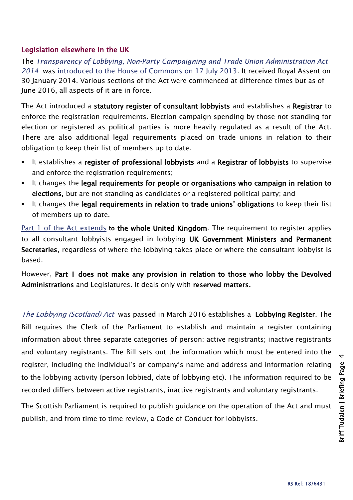#### Legislation elsewhere in the UK

The *[Transparency of Lobbying, Non-Party Campaigning and Trade Union Administration Act](http://www.legislation.gov.uk/ukpga/2014/4/schedule/1/enacted)  [2014](http://www.legislation.gov.uk/ukpga/2014/4/schedule/1/enacted)* was [introduced to the House of Commons on 17 July 2013.](http://services.parliament.uk/bills/2013-14/transparencyoflobbyingnonpartycampaigningandtradeunionadministration/stages.html) It received Royal Assent on 30 January 2014. Various sections of the Act were commenced at difference times but as of June 2016, all aspects of it are in force.

The Act introduced a statutory register of consultant lobbyists and establishes a Registrar to enforce the registration requirements. Election campaign spending by those not standing for election or registered as political parties is more heavily regulated as a result of the Act. There are also additional legal requirements placed on trade unions in relation to their obligation to keep their list of members up to date.

- It establishes a register of professional lobbyists and a Registrar of lobbyists to supervise and enforce the registration requirements;
- It changes the legal requirements for people or organisations who campaign in relation to elections, but are not standing as candidates or a registered political party; and
- It changes the legal requirements in relation to trade unions' obligations to keep their list of members up to date.

[Part 1 of the Act extends](http://www.legislation.gov.uk/ukpga/2014/4/notes/division/4) to the whole United Kingdom. The requirement to register applies to all consultant lobbyists engaged in lobbying UK Government Ministers and Permanent Secretaries, regardless of where the lobbying takes place or where the consultant lobbyist is based.

However, Part 1 does not make any provision in relation to those who lobby the Devolved Administrations and Legislatures. It deals only with reserved matters.

[The Lobbying \(Scotland\) Act](http://www.parliament.scot/parliamentarybusiness/Bills/93324.aspx) was passed in March 2016 establishes a Lobbying Register. The Bill requires the Clerk of the Parliament to establish and maintain a register containing information about three separate categories of person: active registrants; inactive registrants and voluntary registrants. The Bill sets out the information which must be entered into the register, including the individual's or company's name and address and information relating to the lobbying activity (person lobbied, date of lobbying etc). The information required to be recorded differs between active registrants, inactive registrants and voluntary registrants.

The Scottish Parliament is required to publish guidance on the operation of the Act and must publish, and from time to time review, a Code of Conduct for lobbyists.